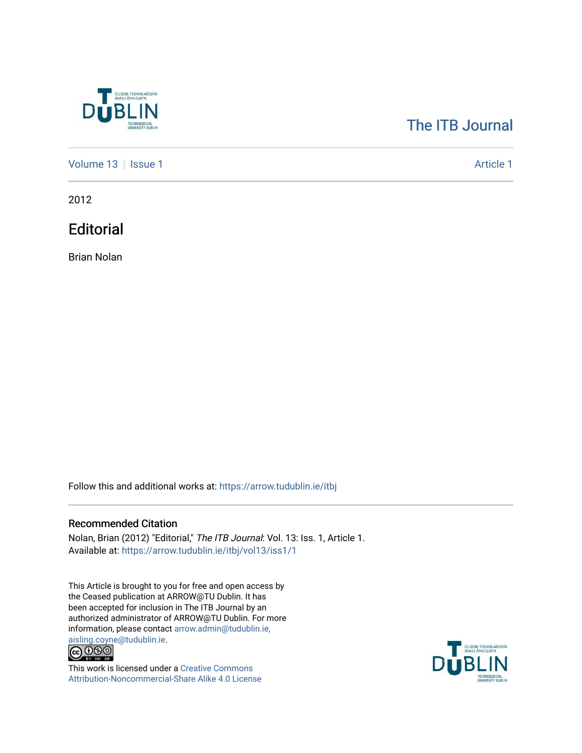

## [The ITB Journal](https://arrow.tudublin.ie/itbj)

[Volume 13](https://arrow.tudublin.ie/itbj/vol13) | [Issue 1](https://arrow.tudublin.ie/itbj/vol13/iss1) [Article 1](https://arrow.tudublin.ie/itbj/vol13/iss1/1) Article 1

2012

**Editorial** 

Brian Nolan

Follow this and additional works at: [https://arrow.tudublin.ie/itbj](https://arrow.tudublin.ie/itbj?utm_source=arrow.tudublin.ie%2Fitbj%2Fvol13%2Fiss1%2F1&utm_medium=PDF&utm_campaign=PDFCoverPages) 

## Recommended Citation

Nolan, Brian (2012) "Editorial," The ITB Journal: Vol. 13: Iss. 1, Article 1. Available at: [https://arrow.tudublin.ie/itbj/vol13/iss1/1](https://arrow.tudublin.ie/itbj/vol13/iss1/1?utm_source=arrow.tudublin.ie%2Fitbj%2Fvol13%2Fiss1%2F1&utm_medium=PDF&utm_campaign=PDFCoverPages)

This Article is brought to you for free and open access by the Ceased publication at ARROW@TU Dublin. It has been accepted for inclusion in The ITB Journal by an authorized administrator of ARROW@TU Dublin. For more information, please contact [arrow.admin@tudublin.ie,](mailto:arrow.admin@tudublin.ie,%20aisling.coyne@tudublin.ie) 



This work is licensed under a [Creative Commons](http://creativecommons.org/licenses/by-nc-sa/4.0/) [Attribution-Noncommercial-Share Alike 4.0 License](http://creativecommons.org/licenses/by-nc-sa/4.0/)

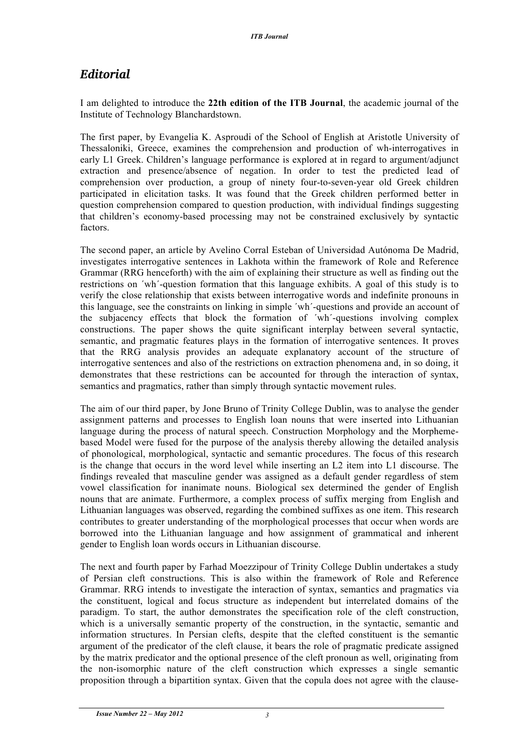## *Editorial*

I am delighted to introduce the **22th edition of the ITB Journal**, the academic journal of the Institute of Technology Blanchardstown.

The first paper, by Evangelia K. Asproudi of the School of English at Aristotle University of Thessaloniki, Greece, examines the comprehension and production of wh-interrogatives in early L1 Greek. Children's language performance is explored at in regard to argument/adjunct extraction and presence/absence of negation. In order to test the predicted lead of comprehension over production, a group of ninety four-to-seven-year old Greek children participated in elicitation tasks. It was found that the Greek children performed better in question comprehension compared to question production, with individual findings suggesting that children's economy-based processing may not be constrained exclusively by syntactic factors.

The second paper, an article by Avelino Corral Esteban of Universidad Autónoma De Madrid, investigates interrogative sentences in Lakhota within the framework of Role and Reference Grammar (RRG henceforth) with the aim of explaining their structure as well as finding out the restrictions on ´wh´-question formation that this language exhibits. A goal of this study is to verify the close relationship that exists between interrogative words and indefinite pronouns in this language, see the constraints on linking in simple ´wh´-questions and provide an account of the subjacency effects that block the formation of ´wh´-questions involving complex constructions. The paper shows the quite significant interplay between several syntactic, semantic, and pragmatic features plays in the formation of interrogative sentences. It proves that the RRG analysis provides an adequate explanatory account of the structure of interrogative sentences and also of the restrictions on extraction phenomena and, in so doing, it demonstrates that these restrictions can be accounted for through the interaction of syntax, semantics and pragmatics, rather than simply through syntactic movement rules.

The aim of our third paper, by Jone Bruno of Trinity College Dublin, was to analyse the gender assignment patterns and processes to English loan nouns that were inserted into Lithuanian language during the process of natural speech. Construction Morphology and the Morphemebased Model were fused for the purpose of the analysis thereby allowing the detailed analysis of phonological, morphological, syntactic and semantic procedures. The focus of this research is the change that occurs in the word level while inserting an L2 item into L1 discourse. The findings revealed that masculine gender was assigned as a default gender regardless of stem vowel classification for inanimate nouns. Biological sex determined the gender of English nouns that are animate. Furthermore, a complex process of suffix merging from English and Lithuanian languages was observed, regarding the combined suffixes as one item. This research contributes to greater understanding of the morphological processes that occur when words are borrowed into the Lithuanian language and how assignment of grammatical and inherent gender to English loan words occurs in Lithuanian discourse.

The next and fourth paper by Farhad Moezzipour of Trinity College Dublin undertakes a study of Persian cleft constructions. This is also within the framework of Role and Reference Grammar. RRG intends to investigate the interaction of syntax, semantics and pragmatics via the constituent, logical and focus structure as independent but interrelated domains of the paradigm. To start, the author demonstrates the specification role of the cleft construction, which is a universally semantic property of the construction, in the syntactic, semantic and information structures. In Persian clefts, despite that the clefted constituent is the semantic argument of the predicator of the cleft clause, it bears the role of pragmatic predicate assigned by the matrix predicator and the optional presence of the cleft pronoun as well, originating from the non-isomorphic nature of the cleft construction which expresses a single semantic proposition through a bipartition syntax. Given that the copula does not agree with the clause